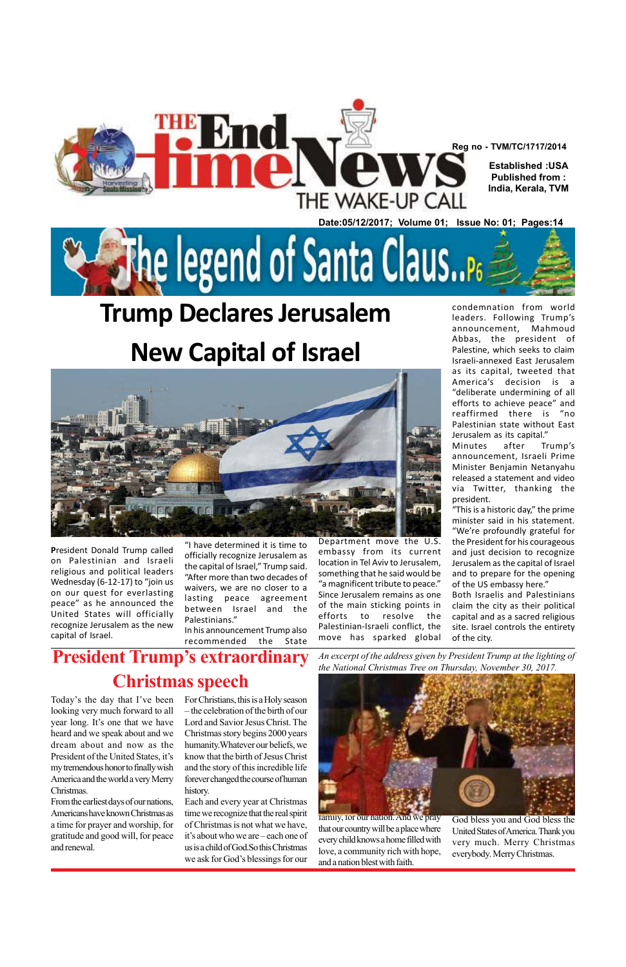**P**resident Donald Trump called on Palestinian and Israeli religious and political leaders Wednesday (6-12-17) to "join us on our quest for everlasting peace" as he announced the United States will officially recognize Jerusalem as the new capital of Israel.

## **Trump Declares Jerusalem New Capital of Israel**





The legend of Santa Claus...

"I have determined it is time to officially recognize Jerusalem as the capital of Israel," Trump said. "After more than two decades of waivers, we are no closer to a lasting peace agreement between Israel and the Palestinians."

In his announcement Trump also recommended the State

Department move the U.S. embassy from its current location in Tel Aviv to Jerusalem, something that he said would be "a magnificent tribute to peace." Since Jerusalem remains as one of the main sticking points in efforts to resolve the Palestinian-Israeli conflict, the move has sparked global

condemnation from world leaders. Following Trump's announcement, Mahmoud Abbas, the president of Palestine, which seeks to claim Israeli-annexed East Jerusalem as its capital, tweeted that America's decision is a "deliberate undermining of all efforts to achieve peace" and reaffirmed there is "no Palestinian state without East Jerusalem as its capital." Minutes after Trump's announcement, Israeli Prime Minister Benjamin Netanyahu released a statement and video

via Twitter, thanking the president.

"This is a historic day," the prime minister said in his statement. "We're profoundly grateful for the President for his courageous and just decision to recognize Jerusalem as the capital of Israel and to prepare for the opening of the US embassy here."

Both Israelis and Palestinians claim the city as their political capital and as a sacred religious site. Israel controls the entirety of the city.

Today's the day that I've been For Christians, this is a Holy season looking very much forward to all year long. It's one that we have heard and we speak about and we dream about and now as the President of the United States, it's my tremendous honor to finally wish America and the world a very Merry Christmas. From the earliest days of our nations, Americans have known Christmas as a time for prayer and worship, for gratitude and good will, for peace and renewal.

**President Trump's extraordinary Christmas speech**

*An excerpt of the address given by President Trump at the lighting of the National Christmas Tree on Thursday, November 30, 2017.*



– the celebration of the birth of our Lord and Savior Jesus Christ. The Christmas story begins 2000 years humanity.Whatever our beliefs, we know that the birth of Jesus Christ and the story of this incredible life forever changed the course of human history. Each and every year at Christmas time we recognize that the real spirit of Christmas is not what we have, it's about who we are – each one of us is a child of God.So this Christmas we ask for God's blessings for our

family, for our nation. And we pray that our country will be a place where every child knows a home filled with love, a community rich with hope, and a nation blest with faith.

God bless you and God bless the United States of America. Thank you very much. Merry Christmas everybody. Merry Christmas.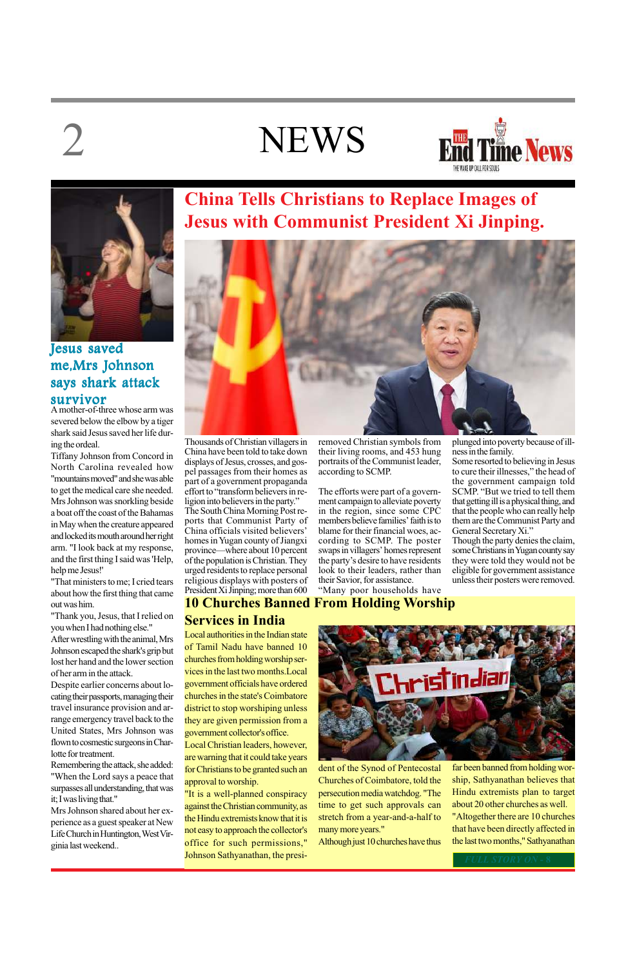## **NEWS**





Thousands of Christian villagers in China have been told to take down displays of Jesus, crosses, and gospel passages from their homes as part of a government propaganda effort to "transform believers in re-

ligion into believers in the party." The South China Morning Post reports that Communist Party of China officials visited believers' homes in Yugan county of Jiangxi province—where about 10 percent of the population is Christian. They urged residents to replace personal religious displays with posters of President Xi Jinping; more than 600

**China Tells Christians to Replace Images of Jesus with Communist President Xi Jinping.**



removed Christian symbols from their living rooms, and 453 hung portraits of the Communist leader, according to SCMP.

The efforts were part of a government campaign to alleviate poverty in the region, since some CPC members believe families' faith is to blame for their financial woes, according to SCMP. The poster swaps in villagers' homes represent the party's desire to have residents look to their leaders, rather than their Savior, for assistance. "Many poor households have

plunged into poverty because of illness in the family. Some resorted to believing in Jesus to cure their illnesses," the head of the government campaign told SCMP. "But we tried to tell them that getting ill is a physical thing, and that the people who can really help

them are the Communist Party and General Secretary Xi." Though the party denies the claim, some Christians in Yugan county say

they were told they would not be eligible for government assistance unless their posters were removed.



A mother-of-three whose arm was severed below the elbow by a tiger shark said Jesus saved her life during the ordeal.

Tiffany Johnson from Concord in North Carolina revealed how "mountains moved" and she was able to get the medical care she needed. Mrs Johnson was snorkling beside a boat off the coast of the Bahamas in May when the creature appeared and locked its mouth around her right arm. "I look back at my response, and the first thing I said was 'Help, help me Jesus!'

"That ministers to me; I cried tears about how the first thing that came out was him.

"Thank you, Jesus, that I relied on you when I had nothing else."

After wrestling with the animal, Mrs Johnson escaped the shark's grip but lost her hand and the lower section of her arm in the attack.

Despite earlier concerns about locating their passports, managing their travel insurance provision and arrange emergency travel back to the United States, Mrs Johnson was flown to cosmestic surgeons in Charlotte for treatment.

Remembering the attack, she added: "When the Lord says a peace that surpasses all understanding, that was it; I was living that."

Mrs Johnson shared about her experience as a guest speaker at New Life Church in Huntington, West Virginia last weekend..

### Jesus saved me,Mrs Johnson says shark attack survivor

Local authorities in the Indian state of Tamil Nadu have banned 10 churches from holding worship services in the last two months.Local government officials have ordered churches in the state's Coimbatore district to stop worshiping unless they are given permission from a government collector's office. Local Christian leaders, however, are warning that it could take years for Christians to be granted such an approval to worship.

"It is a well-planned conspiracy against the Christian community, as the Hindu extremists know that it is not easy to approach the collector's office for such permissions," Johnson Sathyanathan, the presi-

**10 Churches Banned From Holding Worship Services in India**

> dent of the Synod of Pentecostal Churches of Coimbatore, told the persecution media watchdog. "The time to get such approvals can stretch from a year-and-a-half to many more years."

Although just 10 churches have thus

far been banned from holding worship, Sathyanathan believes that Hindu extremists plan to target about 20 other churches as well. "Altogether there are 10 churches that have been directly affected in the last two months," Sathyanathan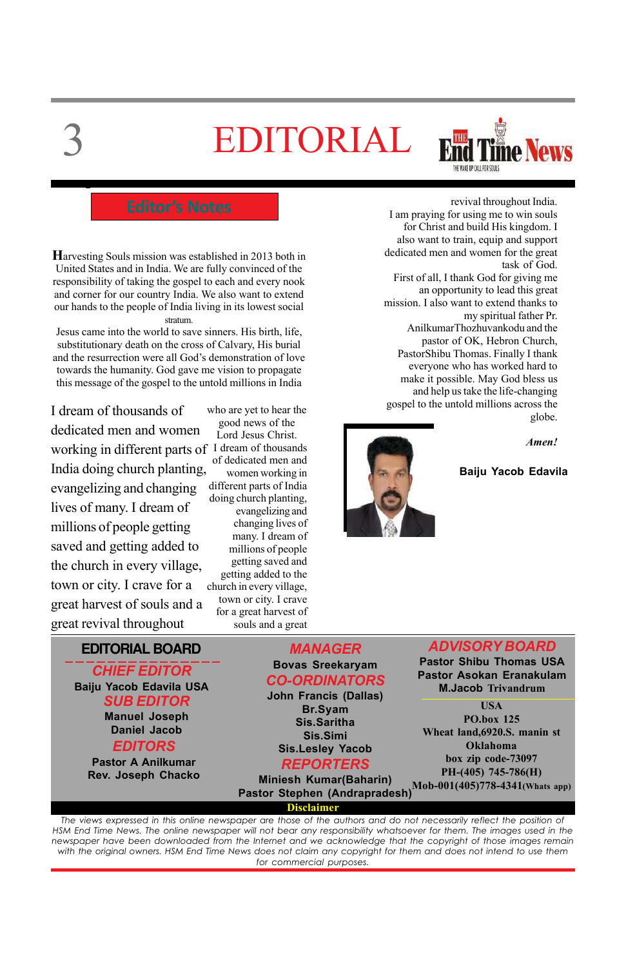**EDITORIAL BOARD**

### *CHIEF EDITOR* **Baiju Yacob Edavila USA** *SUB EDITOR*

*MANAGER* **Bovas Sreekaryam** *CO-ORDINATORS* **John Francis (Dallas) Br.Syam**

*ADVISORY BOARD*

**Pastor Shibu Thomas USA Pastor Asokan Eranakulam M.Jacob Trivandrum**

### **Disclaimer**

# 3 EDITORIAL



**H**arvesting Souls mission was established in 2013 both in United States and in India. We are fully convinced of the responsibility of taking the gospel to each and every nook and corner for our country India. We also want to extend our hands to the people of India living in its lowest social stratum.

Jesus came into the world to save sinners. His birth, life, substitutionary death on the cross of Calvary, His burial and the resurrection were all God's demonstration of love towards the humanity. God gave me vision to propagate this message of the gospel to the untold millions in India

### **Baiju Yacob Edavila**



I dream of thousands of dedicated men and women working in different parts of I dream of thousands India doing church planting, evangelizing and changing lives of many. I dream of millions of people getting saved and getting added to the church in every village, town or city. I crave for a great harvest of souls and a great revival throughout

| <b>Manuel Joseph</b>      | <u>— 115 y v. 111</u><br>Sis.Saritha                                  | <b>PO.box 125</b>                                           |
|---------------------------|-----------------------------------------------------------------------|-------------------------------------------------------------|
| <b>Daniel Jacob</b>       | Sis.Simi                                                              | Wheat land, 6920. S. manin st                               |
| <b>EDITORS</b>            | <b>Sis.Lesley Yacob</b>                                               | Oklahoma                                                    |
| <b>Pastor A Anilkumar</b> | <b>REPORTERS</b>                                                      | box zip code-73097                                          |
| Rev. Joseph Chacko        | <b>Miniesh Kumar(Baharin)</b><br><b>Pastor Stephen (Andrapradesh)</b> | $PH-(405)$ 745-786(H)<br>$Mob-001(405)778-4341$ (Whats app) |
|                           |                                                                       |                                                             |

who are yet to hear the good news of the Lord Jesus Christ. of dedicated men and women working in different parts of India doing church planting, evangelizing and changing lives of many. I dream of millions of people getting saved and getting added to the church in every village, town or city. I crave for a great harvest of souls and a great

*The views expressed in this online newspaper are those of the authors and do not necessarily reflect the position of HSM End Time News. The online newspaper will not bear any responsibility whatsoever for them. The images used in the newspaper have been downloaded from the Internet and we acknowledge that the copyright of those images remain with the original owners. HSM End Time News does not claim any copyright for them and does not intend to use them for commercial purposes.*

revival throughout India. I am praying for using me to win souls for Christ and build His kingdom. I also want to train, equip and support dedicated men and women for the great task of God. First of all, I thank God for giving me an opportunity to lead this great mission. I also want to extend thanks to my spiritual father Pr. AnilkumarThozhuvankodu and the pastor of OK, Hebron Church, PastorShibu Thomas. Finally I thank everyone who has worked hard to make it possible. May God bless us and help us take the life-changing gospel to the untold millions across the globe.



### **USA**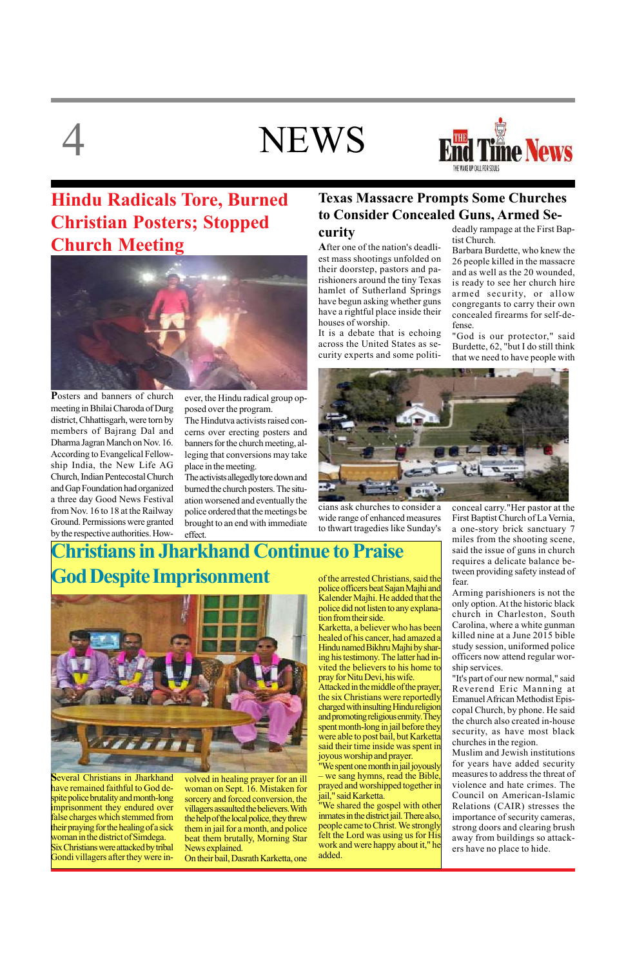# **NEWS**



## **Hindu Radicals Tore, Burned Christian Posters; Stopped Church Meeting**



## **Christians in Jharkhand Continue to Praise God Despite Imprisonment**



**P**osters and banners of church meeting in Bhilai Charoda of Durg district, Chhattisgarh, were torn by members of Bajrang Dal and Dharma Jagran Manch on Nov. 16. According to Evangelical Fellowship India, the New Life AG Church, Indian Pentecostal Church and Gap Foundation had organized a three day Good News Festival from Nov. 16 to 18 at the Railway Ground. Permissions were granted by the respective authorities. However, the Hindu radical group opposed over the program.

The Hindutva activists raised concerns over erecting posters and banners for the church meeting, alleging that conversions may take place in the meeting.

The activists allegedly tore down and burned the church posters. The situation worsened and eventually the police ordered that the meetings be brought to an end with immediate effect.

**S**everal Christians in Jharkhand have remained faithful to God despite police brutality and month-long imprisonment they endured over false charges which stemmed from their praying for the healing of a sick woman in the district of Simdega. Six Christians were attacked by tribal Gondi villagers after they were in-

volved in healing prayer for an ill woman on Sept. 16. Mistaken for sorcery and forced conversion, the villagers assaulted the believers. With the help of the local police, they threw them in jail for a month, and police beat them brutally, Morning Star News explained.

On their bail, Dasrath Karketta, one

of the arrested Christians, said the police officers beat Sajan Majhi and Kalender Majhi. He added that the police did not listen to any explanation from their side.

Karketta, a believer who has been healed of his cancer, had amazed a Hindu named Bikhru Majhi by sharing his testimony. The latter had invited the believers to his home to pray for Nitu Devi, his wife.

Attacked in the middle of the prayer, the six Christians were reportedly charged with insulting Hindu religion

and promoting religious enmity. They spent month-long in jail before they were able to post bail, but Karketta said their time inside was spent in joyous worship and prayer.

"We spent one month in jail joyously – we sang hymns, read the Bible, prayed and worshipped together in jail," said Karketta.

"We shared the gospel with other inmates in the district jail. There also, people came to Christ. We strongly felt the Lord was using us for His work and were happy about it," he added.

## **Texas Massacre Prompts Some Churches to Consider Concealed Guns, Armed Se-**

**curity**

**A**fter one of the nation's deadliest mass shootings unfolded on their doorstep, pastors and parishioners around the tiny Texas hamlet of Sutherland Springs have begun asking whether guns have a rightful place inside their houses of worship.

It is a debate that is echoing across the United States as security experts and some politi-

cians ask churches to consider a wide range of enhanced measures to thwart tragedies like Sunday's deadly rampage at the First Baptist Church.

Barbara Burdette, who knew the 26 people killed in the massacre and as well as the 20 wounded, is ready to see her church hire armed security, or allow congregants to carry their own concealed firearms for self-defense.

"God is our protector," said Burdette, 62, "but I do still think that we need to have people with



conceal carry."Her pastor at the First Baptist Church of La Vernia, a one-story brick sanctuary 7 miles from the shooting scene, said the issue of guns in church requires a delicate balance between providing safety instead of fear.

Arming parishioners is not the only option. At the historic black church in Charleston, South Carolina, where a white gunman killed nine at a June 2015 bible study session, uniformed police officers now attend regular worship services.

"It's part of our new normal," said Reverend Eric Manning at Emanuel African Methodist Episcopal Church, by phone. He said the church also created in-house security, as have most black churches in the region. Muslim and Jewish institutions for years have added security measures to address the threat of violence and hate crimes. The Council on American-Islamic Relations (CAIR) stresses the importance of security cameras, strong doors and clearing brush away from buildings so attackers have no place to hide.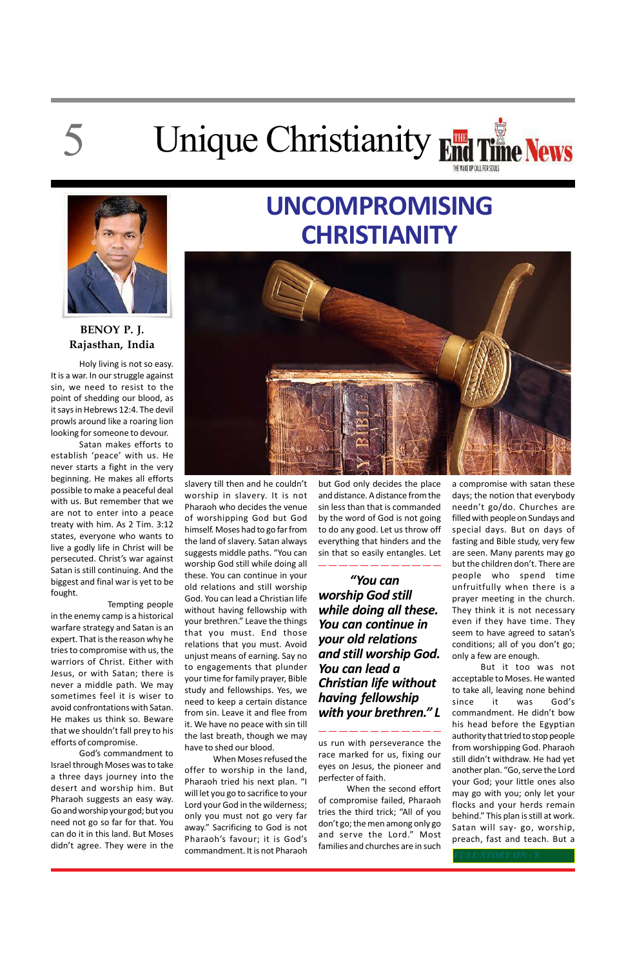# 5

# Unique Christianity End Time News



Holy living is not so easy. It is a war. In our struggle against sin, we need to resist to the point of shedding our blood, as it says in Hebrews 12:4. The devil prowls around like a roaring lion looking for someone to devour.

Satan makes efforts to establish 'peace' with us. He never starts a fight in the very beginning. He makes all efforts possible to make a peaceful deal with us. But remember that we are not to enter into a peace treaty with him. As 2 Tim. 3:12 states, everyone who wants to live a godly life in Christ will be persecuted. Christ's war against Satan is still continuing. And the biggest and final war is yet to be fought.

Tempting people in the enemy camp is a historical warfare strategy and Satan is an expert. That is the reason why he tries to compromise with us, the warriors of Christ. Either with Jesus, or with Satan; there is never a middle path. We may sometimes feel it is wiser to avoid confrontations with Satan. He makes us think so. Beware that we shouldn't fall prey to his efforts of compromise. God's commandment to Israel through Moses was to take a three days journey into the desert and worship him. But Pharaoh suggests an easy way. Go and worship your god; but you need not go so far for that. You can do it in this land. But Moses didn't agree. They were in the

## **UNCOMPROMISING CHRISTIANITY**



slavery till then and he couldn't worship in slavery. It is not Pharaoh who decides the venue of worshipping God but God himself. Moses had to go far from the land of slavery. Satan always suggests middle paths. "You can worship God still while doing all these. You can continue in your old relations and still worship God. You can lead a Christian life without having fellowship with your brethren." Leave the things that you must. End those relations that you must. Avoid unjust means of earning. Say no to engagements that plunder your time for family prayer, Bible study and fellowships. Yes, we need to keep a certain distance

from sin. Leave it and flee from it. We have no peace with sin till the last breath, though we may have to shed our blood.

When Moses refused the offer to worship in the land, Pharaoh tried his next plan. "I will let you go to sacrifice to your Lord your God in the wilderness; only you must not go very far away." Sacrificing to God is not Pharaoh's favour; it is God's commandment. It is not Pharaoh

but God only decides the place and distance. A distance from the sin less than that is commanded by the word of God is not going to do any good. Let us throw off everything that hinders and the sin that so easily entangles. Let

 *"You can worship God still while doing all these. You can continue in your old relations and still worship God. You can lead a Christian life without having fellowship*

### *with your brethren." L*

us run with perseverance the race marked for us, fixing our eyes on Jesus, the pioneer and perfecter of faith.

When the second effort of compromise failed, Pharaoh tries the third trick; "All of you don't go; the men among only go and serve the Lord." Most families and churches are in such

a compromise with satan these days; the notion that everybody needn't go/do. Churches are filled with people on Sundays and special days. But on days of fasting and Bible study, very few are seen. Many parents may go but the children don't. There are people who spend time unfruitfully when there is a prayer meeting in the church. They think it is not necessary even if they have time. They seem to have agreed to satan's conditions; all of you don't go; only a few are enough.

But it too was not acceptable to Moses. He wanted to take all, leaving none behind since it was God's

commandment. He didn't bow his head before the Egyptian authority that tried to stop people from worshipping God. Pharaoh still didn't withdraw. He had yet another plan. "Go, serve the Lord your God; your little ones also may go with you; only let your flocks and your herds remain behind." This plan is still at work. Satan will say- go, worship, preach, fast and teach. But a

**BENOY P. J. Rajasthan, India**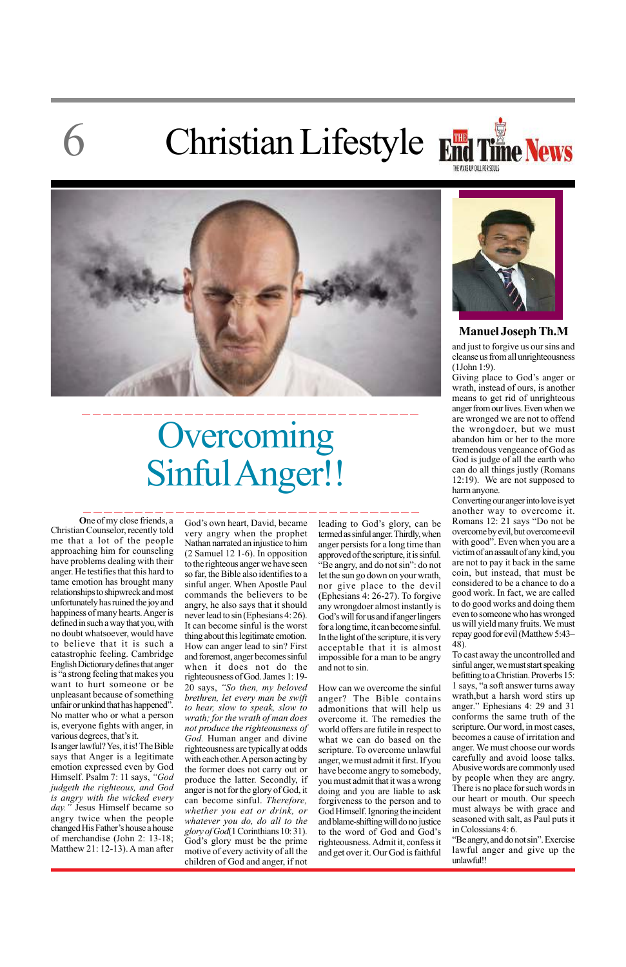## 6 Christian Lifestyle





**O**ne of my close friends, a Christian Counselor, recently told me that a lot of the people approaching him for counseling have problems dealing with their anger. He testifies that this hard to tame emotion has brought many relationships to shipwreck and most unfortunately has ruined the joy and happiness of many hearts. Anger is defined in such a way that you, with no doubt whatsoever, would have to believe that it is such a catastrophic feeling. Cambridge English Dictionary defines that anger is "a strong feeling that makes you want to hurt someone or be unpleasant because of something unfair or unkind that has happened". No matter who or what a person is, everyone fights with anger, in various degrees, that's it. Is anger lawful? Yes, it is! The Bible says that Anger is a legitimate emotion expressed even by God Himself. Psalm 7: 11 says, *"God judgeth the righteous, and God is angry with the wicked every day."* Jesus Himself became so angry twice when the people changed His Father's house a house of merchandise (John 2: 13-18; Matthew 21: 12-13). A man after

## **Overcoming** Sinful Anger!!

### **Manuel Joseph Th.M**

God's own heart, David, became very angry when the prophet Nathan narrated an injustice to him (2 Samuel 12 1-6). In opposition to the righteous anger we have seen so far, the Bible also identifies to a sinful anger. When Apostle Paul commands the believers to be angry, he also says that it should never lead to sin (Ephesians 4: 26). It can become sinful is the worst thing about this legitimate emotion. How can anger lead to sin? First and foremost, anger becomes sinful when it does not do the righteousness of God. James 1: 19- 20 says, *"So then, my beloved brethren, let every man be swift to hear, slow to speak, slow to wrath; for the wrath of man does not produce the righteousness of God.* Human anger and divine righteousness are typically at odds with each other. A person acting by the former does not carry out or produce the latter. Secondly, if anger is not for the glory of God, it can become sinful. *Therefore, whether you eat or drink, or whatever you do, do all to the glory of God*(1 Corinthians 10: 31). God's glory must be the prime motive of every activity of all the children of God and anger, if not leading to God's glory, can be termed as sinful anger. Thirdly, when anger persists for a long time than approved of the scripture, it is sinful. "Be angry, and do not sin": do not let the sun go down on your wrath, nor give place to the devil (Ephesians 4: 26-27). To forgive any wrongdoer almost instantly is God's will for us and if anger lingers for a long time, it can become sinful. In the light of the scripture, it is very acceptable that it is almost impossible for a man to be angry and not to sin.

How can we overcome the sinful anger? The Bible contains admonitions that will help us overcome it. The remedies the world offers are futile in respect to what we can do based on the scripture. To overcome unlawful anger, we must admit it first. If you have become angry to somebody, you must admit that it was a wrong doing and you are liable to ask forgiveness to the person and to God Himself. Ignoring the incident and blame-shifting will do no justice to the word of God and God's righteousness. Admit it, confess it and get over it. Our God is faithful



and just to forgive us our sins and cleanse us from all unrighteousness (1John 1:9).

Giving place to God's anger or wrath, instead of ours, is another means to get rid of unrighteous anger from our lives. Even when we are wronged we are not to offend the wrongdoer, but we must abandon him or her to the more tremendous vengeance of God as God is judge of all the earth who can do all things justly (Romans 12:19). We are not supposed to harm anyone.

Converting our anger into love is yet another way to overcome it. Romans 12: 21 says "Do not be overcome by evil, but overcome evil with good". Even when you are a victim of an assault of any kind, you are not to pay it back in the same coin, but instead, that must be considered to be a chance to do a good work. In fact, we are called to do good works and doing them even to someone who has wronged us will yield many fruits. We must repay good for evil (Matthew 5:43– 48).

To cast away the uncontrolled and sinful anger, we must start speaking befitting to a Christian. Proverbs 15: 1 says, "a soft answer turns away wrath,but a harsh word stirs up anger." Ephesians 4: 29 and 31 conforms the same truth of the scripture. Our word, in most cases, becomes a cause of irritation and anger. We must choose our words carefully and avoid loose talks. Abusive words are commonly used by people when they are angry. There is no place for such words in our heart or mouth. Our speech must always be with grace and seasoned with salt, as Paul puts it in Colossians 4: 6. "Be angry, and do not sin". Exercise lawful anger and give up the unlawful!!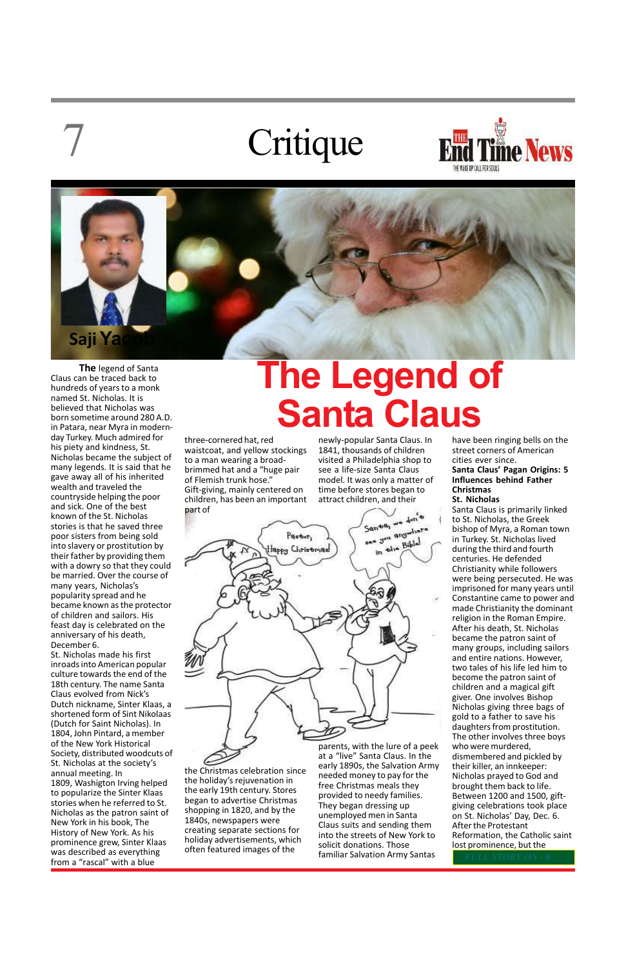7

**The** legend of Santa Claus can be traced back to hundreds of years to a monk named St. Nicholas. It is believed that Nicholas was born sometime around 280 A.D. in Patara, near Myra in modernday Turkey. Much admired for his piety and kindness, St. Nicholas became the subject of many legends. It is said that he gave away all of his inherited wealth and traveled the countryside helping the poor and sick. One of the best known of the St. Nicholas stories is that he saved three poor sisters from being sold into slavery or prostitution by their father by providing them with a dowry so that they could be married. Over the course of many years, Nicholas's popularity spread and he became known as the protector of children and sailors. His feast day is celebrated on the anniversary of his death, December 6.

St. Nicholas made his first inroads into American popular culture towards the end of the 18th century. The name Santa Claus evolved from Nick's Dutch nickname, Sinter Klaas, a shortened form of Sint Nikolaas (Dutch for Saint Nicholas). In 1804, John Pintard, a member of the New York Historical Society, distributed woodcuts of St. Nicholas at the society's annual meeting. In 1809, Washigton Irving helped to popularize the Sinter Klaas stories when he referred to St. Nicholas as the patron saint of New York in his book, The History of New York. As his prominence grew, Sinter Klaas was described as everything from a "rascal" with a blue

## **The Legend of Santa Claus**

three-cornered hat, red waistcoat, and yellow stockings to a man wearing a broadbrimmed hat and a "huge pair of Flemish trunk hose." Gift-giving, mainly centered on children, has been an important part of

1840s, newspapers were

newly-popular Santa Claus. In 1841, thousands of children visited a Philadelphia shop to see a life-size Santa Claus model. It was only a matter of time before stores began to attract children, and their



the Christmas celebration since the holiday's rejuvenation in the early 19th century. Stores began to advertise Christmas shopping in 1820, and by the creating separate sections for holiday advertisements, which often featured images of the at a "live" Santa Claus. In the early 1890s, the Salvation Army needed money to pay for the free Christmas meals they provided to needy families. They began dressing up unemployed men in Santa Claus suits and sending them into the streets of New York to solicit donations. Those familiar Salvation Army Santas

parents, with the lure of a peek

have been ringing bells on the street corners of American cities ever since. **Santa Claus' Pagan Origins: 5 Influences behind Father Christmas**

**St. Nicholas**

Santa Claus is primarily linked to St. Nicholas, the Greek bishop of Myra, a Roman town in Turkey. St. Nicholas lived during the third and fourth centuries. He defended Christianity while followers were being persecuted. He was imprisoned for many years until Constantine came to power and made Christianity the dominant religion in the Roman Empire. After his death, St. Nicholas became the patron saint of many groups, including sailors and entire nations. However, two tales of his life led him to become the patron saint of children and a magical gift giver. One involves Bishop Nicholas giving three bags of gold to a father to save his daughters from prostitution. The other involves three boys who were murdered, dismembered and pickled by their killer, an innkeeper: Nicholas prayed to God and brought them back to life. Between 1200 and 1500, giftgiving celebrations took place on St. Nicholas' Day, Dec. 6. After the Protestant Reformation, the Catholic saint lost prominence, but the



# Critique

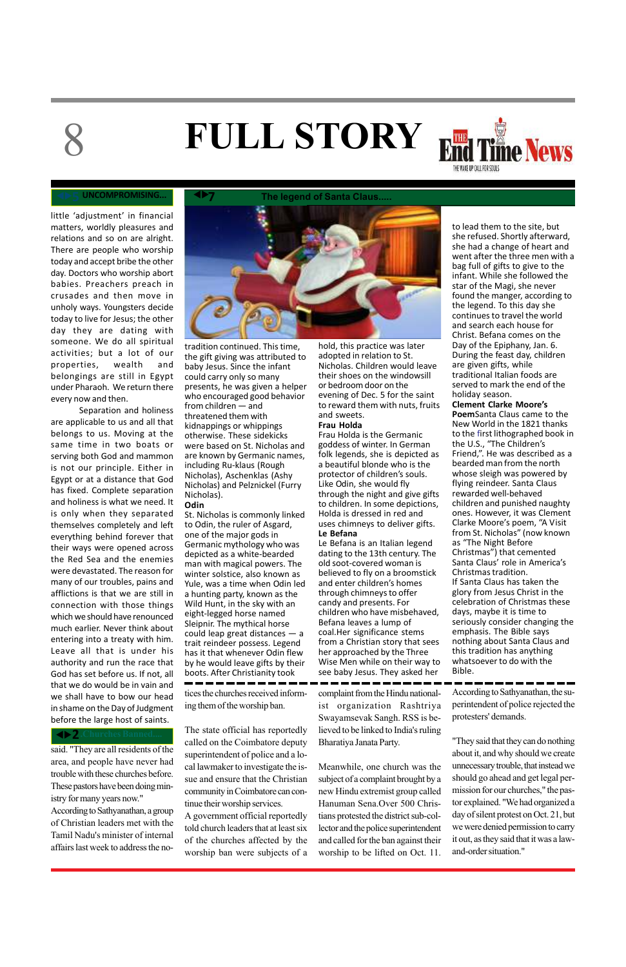said. "They are all residents of the area, and people have never had trouble with these churches before. These pastors have been doing ministry for many years now." According to Sathyanathan, a group of Christian leaders met with the Tamil Nadu's minister of internal affairs last week to address the no-

# 8

little 'adjustment' in financial matters, worldly pleasures and relations and so on are alright. There are people who worship today and accept bribe the other day. Doctors who worship abort babies. Preachers preach in crusades and then move in unholy ways. Youngsters decide today to live for Jesus; the other day they are dating with someone. We do all spiritual activities; but a lot of our properties, wealth and belongings are still in Egypt under Pharaoh. We return there every now and then.

Separation and holiness are applicable to us and all that belongs to us. Moving at the same time in two boats or serving both God and mammon is not our principle. Either in Egypt or at a distance that God has fixed. Complete separation and holiness is what we need. It is only when they separated themselves completely and left everything behind forever that their ways were opened across the Red Sea and the enemies were devastated. The reason for many of our troubles, pains and afflictions is that we are still in connection with those things which we should have renounced much earlier. Never think about entering into a treaty with him. Leave all that is under his authority and run the race that God has set before us. If not, all that we do would be in vain and we shall have to bow our head in shame on the Day of Judgment before the large host of saints.

tices the churches received informing them of the worship ban.

The state official has reportedly called on the Coimbatore deputy superintendent of police and a local lawmaker to investigate the issue and ensure that the Christian community in Coimbatore can continue their worship services. A government official reportedly told church leaders that at least six of the churches affected by the worship ban were subjects of a complaint from the Hindu nationalist organization Rashtriya

Swayamsevak Sangh. RSS is believed to be linked to India's ruling Bharatiya Janata Party.

Meanwhile, one church was the subject of a complaint brought by a new Hindu extremist group called Hanuman Sena.Over 500 Christians protested the district sub-collector and the police superintendent and called for the ban against their worship to be lifted on Oct. 11.



tradition continued. This time, the gift giving was attributed to baby Jesus. Since the infant could carry only so many presents, he was given a helper who encouraged good behavior from children — and threatened them with kidnappings or whippings otherwise. These sidekicks were based on St. Nicholas and are known by Germanic names, including Ru-klaus (Rough Nicholas), Aschenklas (Ashy Nicholas) and Pelznickel (Furry Nicholas). **Odin**

### St. Nicholas is commonly linked to Odin, the ruler of Asgard, one of the major gods in Germanic mythology who was depicted as a white-bearded man with magical powers. The winter solstice, also known as Yule, was a time when Odin led a hunting party, known as the Wild Hunt, in the sky with an eight-legged horse named Sleipnir. The mythical horse could leap great distances — a trait reindeer possess. Legend has it that whenever Odin flew by he would leave gifts by their boots. After Christianity took

hold, this practice was later adopted in relation to St. Nicholas. Children would leave their shoes on the windowsill or bedroom door on the evening of Dec. 5 for the saint to reward them with nuts, fruits and sweets.

### **Frau Holda**

Frau Holda is the Germanic goddess of winter. In German folk legends, she is depicted as a beautiful blonde who is the protector of children's souls. Like Odin, she would fly through the night and give gifts to children. In some depictions, Holda is dressed in red and uses chimneys to deliver gifts. **Le Befana**

Le Befana is an Italian legend dating to the 13th century. The old soot-covered woman is believed to fly on a broomstick and enter children's homes through chimneys to offer candy and presents. For children who have misbehaved, Befana leaves a lump of coal.Her significance stems from a Christian story that sees her approached by the Three Wise Men while on their way to see baby Jesus. They asked her

to lead them to the site, but she refused. Shortly afterward, she had a change of heart and went after the three men with a bag full of gifts to give to the infant. While she followed the star of the Magi, she never found the manger, according to the legend. To this day she continues to travel the world and search each house for Christ. Befana comes on the Day of the Epiphany, Jan. 6. During the feast day, children are given gifts, while traditional Italian foods are served to mark the end of the

### holiday season. **Clement Clarke Moore's Poem**Santa Claus came to the New World in the 1821 thanks to the first lithographed book in the U.S., "The Children's Friend,". He was described as a bearded man from the north whose sleigh was powered by flying reindeer. Santa Claus rewarded well-behaved children and punished naughty ones. However, it was Clement Clarke Moore's poem, "A Visit from St. Nicholas" (now known as "The Night Before Christmas") that cemented Santa Claus' role in America's Christmas tradition. If Santa Claus has taken the glory from Jesus Christ in the celebration of Christmas these days, maybe it is time to seriously consider changing the emphasis. The Bible says nothing about Santa Claus and this tradition has anything whatsoever to do with the Bible.

### **UNCOMPROMISING...**

# **FULL STORY**



According to Sathyanathan, the superintendent of police rejected the

### ◆ 2. Churches Banned....

protesters' demands.

"They said that they can do nothing about it, and why should we create unnecessary trouble, that instead we should go ahead and get legal permission for our churches," the pastor explained. "We had organized a day of silent protest on Oct. 21, but we were denied permission to carry it out, as they said that it was a lawand-order situation."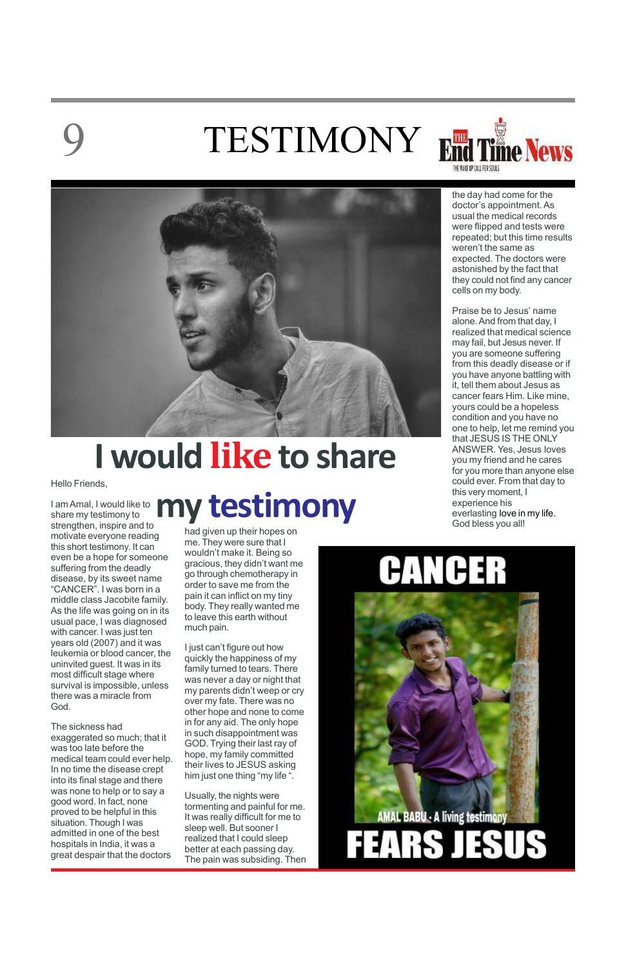# TESTIMONY End Time News





Hello Friends,

I am Amal, I would like to share my testimony to strengthen, inspire and to motivate everyone reading this short testimony. It can even be a hope for someone suffering from the deadly disease, by its sweet name "CANCER". I was born in a middle class Jacobite family. As the life was going on in its usual pace, I was diagnosed with cancer. I was just ten years old (2007) and it was leukemia or blood cancer, the uninvited guest. It was in its most difficult stage where survival is impossible, unless there was a miracle from God.

The sickness had exaggerated so much; that it was too late before the medical team could ever help. In no time the disease crept into its final stage and there was none to help or to say a good word. In fact, none proved to be helpful in this situation. Though I was admitted in one of the best hospitals in India, it was a great despair that the doctors

had given up their hopes on me. They were sure that I wouldn't make it. Being so gracious, they didn't want me go through chemotherapy in order to save me from the pain it can inflict on my tiny body. They really wanted me to leave this earth without much pain.

I just can't figure out how quickly the happiness of my family turned to tears. There was never a day or night that my parents didn't weep or cry over my fate. There was no other hope and none to come in for any aid. The only hope in such disappointment was GOD. Trying their last ray of hope, my family committed their lives to JESUS asking him just one thing "my life ".

Usually, the nights were tormenting and painful for me. It was really difficult for me to sleep well. But sooner I realized that I could sleep better at each passing day. The pain was subsiding. Then

## **I would like to share**

## **my testimony**

the day had come for the doctor's appointment. As usual the medical records were flipped and tests were repeated; but this time results weren't the same as expected. The doctors were astonished by the fact that they could not find any cancer cells on my body.

Praise be to Jesus' name alone. And from that day, I realized that medical science may fail, but Jesus never. If you are someone suffering from this deadly disease or if you have anyone battling with it, tell them about Jesus as cancer fears Him. Like mine, yours could be a hopeless condition and you have no one to help, let me remind you that JESUS IS THE ONLY ANSWER. Yes, Jesus loves you my friend and he cares for you more than anyone else could ever. From that day to this very moment, I experience his everlasting love in my life. God bless you all!

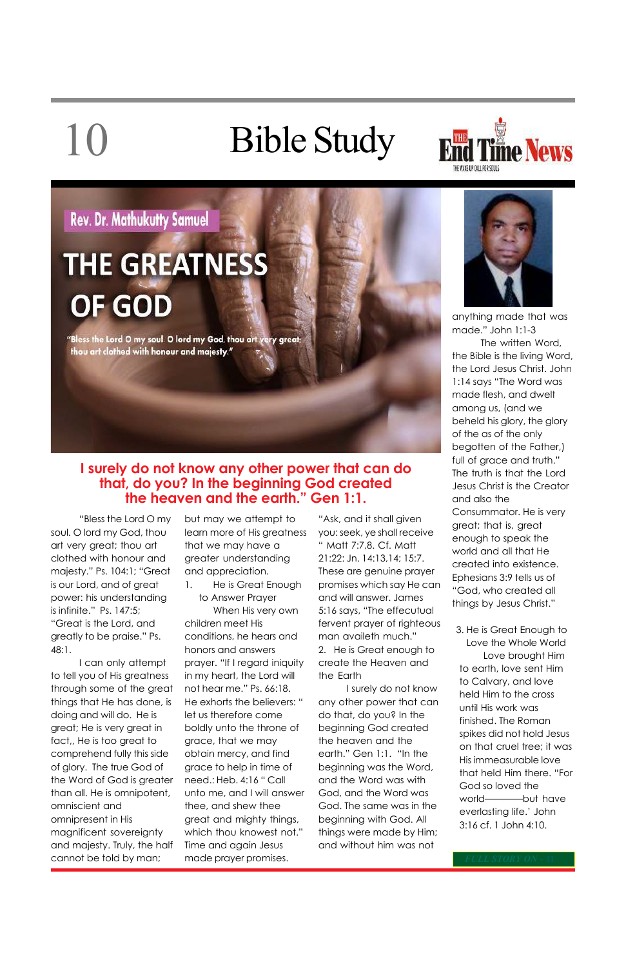# 10 Bible Study



### **Rev. Dr. Mathukutty Samuel**

## **THE GREATNESS OF GOD**

"Bless the Lord O my soul. O lord my God, thou art very great; thou art clothed with honour and majesty."

"Bless the Lord O my soul. O lord my God, thou art very great; thou art clothed with honour and majesty." Ps. 104:1; "Great is our Lord, and of great power: his understanding is infinite." Ps. 147:5; "Great is the Lord, and greatly to be praise." Ps. 48:1.

I can only attempt to tell you of His greatness through some of the great things that He has done, is doing and will do. He is great; He is very great in fact,, He is too great to comprehend fully this side of glory. The true God of the Word of God is greater than all. He is omnipotent, omniscient and omnipresent in His magnificent sovereignty and majesty. Truly, the half cannot be told by man;

but may we attempt to learn more of His greatness that we may have a greater understanding and appreciation.

1. He is Great Enough to Answer Prayer

When His very own children meet His conditions, he hears and honors and answers prayer. "If I regard iniquity in my heart, the Lord will not hear me." Ps. 66:18. He exhorts the believers: " let us therefore come boldly unto the throne of grace, that we may obtain mercy, and find grace to help in time of need.: Heb. 4:16 " Call unto me, and I will answer thee, and shew thee great and mighty things, which thou knowest not." Time and again Jesus made prayer promises.

"Ask, and it shall given you: seek, ye shall receive " Matt 7:7,8. Cf. Matt 21:22: Jn. 14:13,14; 15:7. These are genuine prayer promises which say He can and will answer. James 5:16 says, "The effecutual fervent prayer of righteous man availeth much." 2. He is Great enough to create the Heaven and

the Earth I surely do not know any other power that can



do that, do you? In the beginning God created the heaven and the earth." Gen 1:1. "In the beginning was the Word, and the Word was with God, and the Word was God. The same was in the beginning with God. All things were made by Him; and without him was not

anything made that was made." John 1:1-3

The written Word, the Bible is the living Word, the Lord Jesus Christ. John 1:14 says "The Word was made flesh, and dwelt among us, (and we beheld his glory, the glory of the as of the only begotten of the Father,) full of grace and truth." The truth is that the Lord Jesus Christ is the Creator and also the Consummator. He is very great; that is, great enough to speak the world and all that He created into existence. Ephesians 3:9 tells us of "God, who created all things by Jesus Christ."

3. He is Great Enough to Love the Whole World Love brought Him to earth, love sent Him to Calvary, and love held Him to the cross until His work was

finished. The Roman spikes did not hold Jesus on that cruel tree; it was His immeasurable love that held Him there. "For God so loved the world————but have everlasting life.' John 3:16 cf. 1 John 4:10.

### **I surely do not know any other power that can do that, do you? In the beginning God created the heaven and the earth." Gen 1:1.**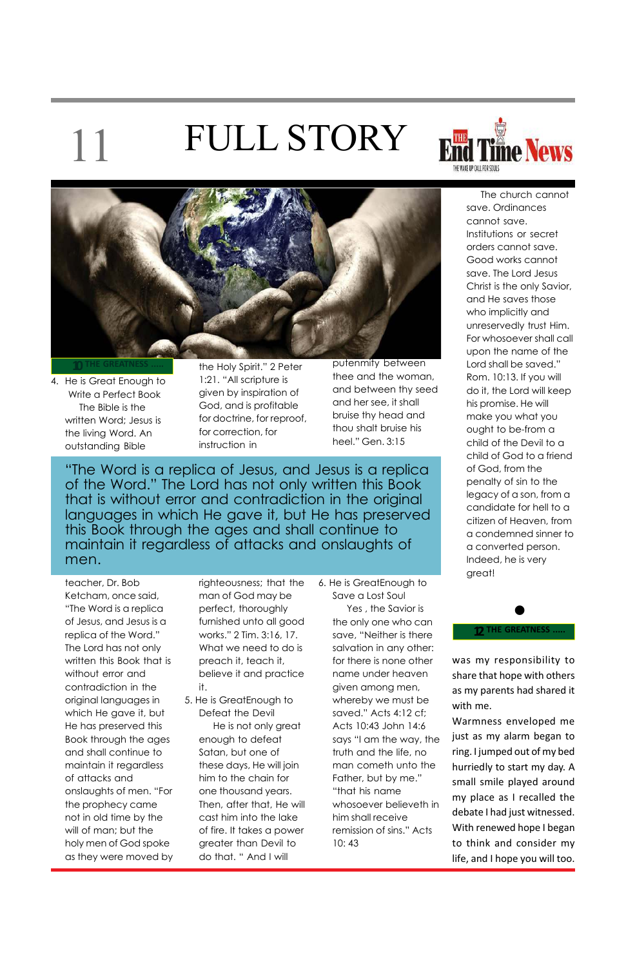4. He is Great Enough to Write a Perfect Book The Bible is the written Word; Jesus is the living Word. An outstanding Bible

**10THE GREATNESS .....**

was my responsibility to share that hope with others as my parents had shared it with me.

Warmness enveloped me just as my alarm began to ring. I jumped out of my bed hurriedly to start my day. A small smile played around my place as I recalled the debate I had just witnessed. With renewed hope I began to think and consider my life, and I hope you will too.

### **12 THE GREATNESS .....**

"The Word is a replica of Jesus, and Jesus is a replica of the Word." The Lord has not only written this Book that is without error and contradiction in the original languages in which He gave it, but He has preserved this Book through the ages and shall continue to maintain it regardless of attacks and onslaughts of men.

teacher, Dr. Bob Ketcham, once said, "The Word is a replica of Jesus, and Jesus is a replica of the Word." The Lord has not only written this Book that is without error and contradiction in the original languages in which He gave it, but He has preserved this Book through the ages and shall continue to maintain it regardless of attacks and onslaughts of men. "For the prophecy came not in old time by the will of man; but the holy men of God spoke as they were moved by the Holy Spirit." 2 Peter 1:21. "All scripture is given by inspiration of God, and is profitable for doctrine, for reproof, for correction, for instruction in

righteousness; that the man of God may be perfect, thoroughly furnished unto all good works." 2 Tim. 3:16, 17. What we need to do is preach it, teach it, believe it and practice it.

## 11 FULL STORY





5. He is GreatEnough to

Defeat the Devil He is not only great enough to defeat Satan, but one of these days, He will join him to the chain for one thousand years. Then, after that, He will cast him into the lake of fire. It takes a power greater than Devil to do that. " And I will

putenmity between thee and the woman, and between thy seed and her see, it shall bruise thy head and thou shalt bruise his heel." Gen. 3:15

6. He is GreatEnough to Save a Lost Soul Yes , the Savior is the only one who can save, "Neither is there salvation in any other: for there is none other name under heaven given among men, whereby we must be saved." Acts 4:12 cf; Acts 10:43 John 14:6 says "I am the way, the truth and the life, no man cometh unto the Father, but by me." "that his name whosoever believeth in him shall receive remission of sins." Acts 10: 43

The church cannot save. Ordinances cannot save. Institutions or secret orders cannot save. Good works cannot save. The Lord Jesus Christ is the only Savior, and He saves those who implicitly and unreservedly trust Him. For whosoever shall call upon the name of the Lord shall be saved." Rom. 10:13. If you will do it, the Lord will keep his promise. He will make you what you ought to be-from a child of the Devil to a child of God to a friend of God, from the penalty of sin to the legacy of a son, from a candidate for hell to a citizen of Heaven, from a condemned sinner to a converted person. Indeed, he is very great!

●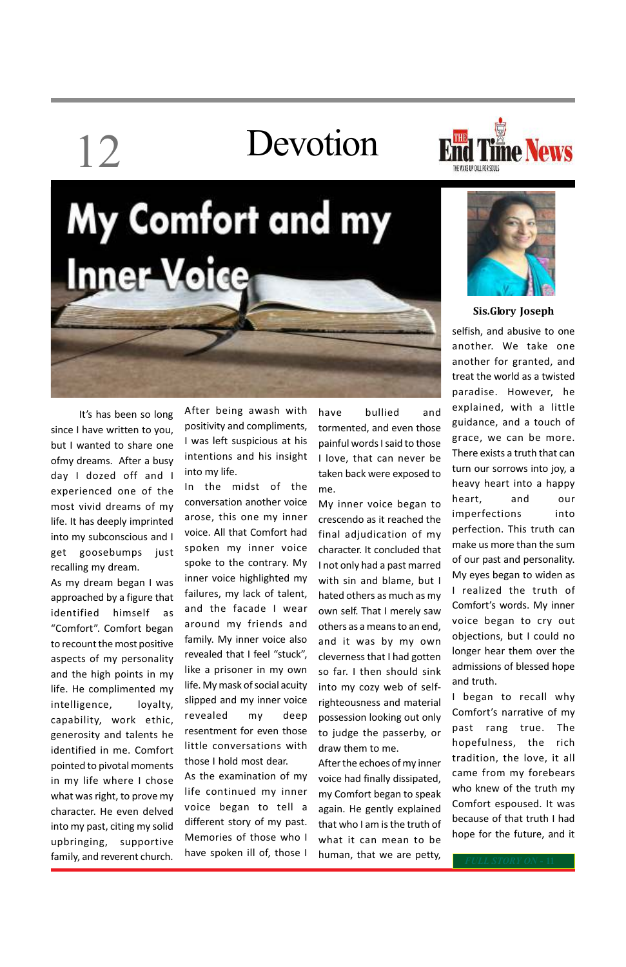# 12 Devotion







It's has been so long since I have written to you, but I wanted to share one ofmy dreams. After a busy day I dozed off and I experienced one of the most vivid dreams of my life. It has deeply imprinted into my subconscious and I get goosebumps just recalling my dream.

As my dream began I was approached by a figure that identified himself as "Comfort". Comfort began to recount the most positive aspects of my personality and the high points in my life. He complimented my intelligence, loyalty, capability, work ethic, generosity and talents he identified in me. Comfort pointed to pivotal moments in my life where I chose what was right, to prove my character. He even delved into my past, citing my solid upbringing, supportive family, and reverent church.

After being awash with positivity and compliments, I was left suspicious at his intentions and his insight into my life.

In the midst of the conversation another voice arose, this one my inner voice. All that Comfort had spoken my inner voice spoke to the contrary. My inner voice highlighted my failures, my lack of talent, and the facade I wear around my friends and family. My inner voice also revealed that I feel "stuck", like a prisoner in my own life. My mask of social acuity slipped and my inner voice revealed my deep resentment for even those little conversations with those I hold most dear. As the examination of my life continued my inner voice began to tell a different story of my past. Memories of those who I have spoken ill of, those I

have bullied and tormented, and even those painful words I said to those I love, that can never be taken back were exposed to me.

My inner voice began to crescendo as it reached the final adjudication of my character. It concluded that I not only had a past marred with sin and blame, but I hated others as much as my own self. That I merely saw others as a means to an end, and it was by my own cleverness that I had gotten so far. I then should sink into my cozy web of selfrighteousness and material possession looking out only to judge the passerby, or draw them to me. After the echoes of my inner voice had finally dissipated, my Comfort began to speak again. He gently explained that who I am is the truth of what it can mean to be human, that we are petty,

selfish, and abusive to one another. We take one another for granted, and treat the world as a twisted paradise. However, he explained, with a little guidance, and a touch of grace, we can be more. There exists a truth that can turn our sorrows into joy, a heavy heart into a happy heart, and our imperfections into perfection. This truth can make us more than the sum of our past and personality. My eyes began to widen as I realized the truth of Comfort's words. My inner voice began to cry out objections, but I could no longer hear them over the admissions of blessed hope and truth.

I began to recall why

Comfort's narrative of my past rang true. The hopefulness, the rich tradition, the love, it all came from my forebears who knew of the truth my Comfort espoused. It was because of that truth I had hope for the future, and it

**Sis.Glory Joseph**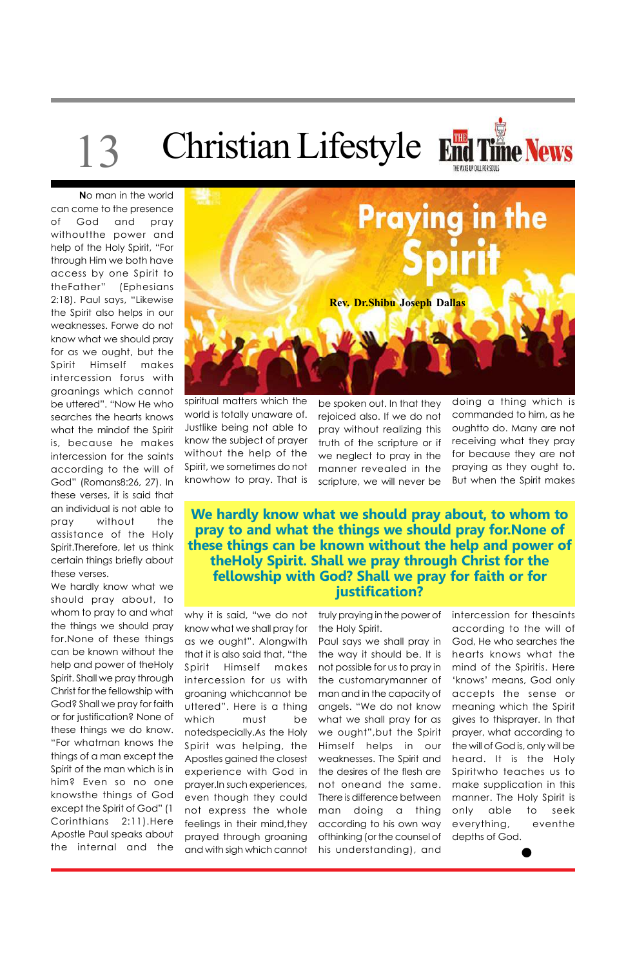# 13 Christian Lifestyle End Time News



**N**o man in the world can come to the presence of God and pray withoutthe power and help of the Holy Spirit, "For through Him we both have access by one Spirit to theFather" (Ephesians 2:18). Paul says, "Likewise the Spirit also helps in our weaknesses. Forwe do not know what we should pray for as we ought, but the Spirit Himself makes intercession forus with groanings which cannot be uttered". "Now He who searches the hearts knows what the mindof the Spirit is, because he makes intercession for the saints according to the will of God" (Romans8:26, 27). In these verses, it is said that an individual is not able to pray without the assistance of the Holy Spirit.Therefore, let us think certain things briefly about these verses.

We hardly know what we should pray about, to whom to pray to and what the things we should pray for.None of these things can be known without the help and power of theHoly Spirit. Shall we pray through Christ for the fellowship with God? Shall we pray for faith or for justification? None of these things we do know. "For whatman knows the things of a man except the Spirit of the man which is in him? Even so no one knowsthe things of God except the Spirit of God" (1 Corinthians 2:11).Here Apostle Paul speaks about the internal and the



spiritual matters which the world is totally unaware of. Justlike being not able to know the subject of prayer without the help of the Spirit, we sometimes do not knowhow to pray. That is

**We hardly know what we should pray about, to whom to pray to and what the things we should pray for.None of these things can be known without the help and power of theHoly Spirit. Shall we pray through Christ for the fellowship with God? Shall we pray for faith or for justification?**

why it is said, "we do not know what we shall pray for as we ought". Alongwith that it is also said that, "the Spirit Himself makes intercession for us with groaning whichcannot be uttered". Here is a thing which must be notedspecially.As the Holy Spirit was helping, the Apostles gained the closest experience with God in prayer.In such experiences, even though they could not express the whole feelings in their mind, they prayed through groaning and with sigh which cannot

be spoken out. In that they rejoiced also. If we do not pray without realizing this truth of the scripture or if we neglect to pray in the manner revealed in the scripture, we will never be

truly praying in the power of the Holy Spirit.

Paul says we shall pray in the way it should be. It is not possible for us to pray in the customarymanner of man and in the capacity of angels. "We do not know what we shall pray for as we ought",but the Spirit Himself helps in our weaknesses. The Spirit and the desires of the flesh are not oneand the same. There is difference between man doing a thing according to his own way ofthinking (or the counsel of his understanding), and

doing a thing which is commanded to him, as he oughtto do. Many are not receiving what they pray for because they are not praying as they ought to. But when the Spirit makes

intercession for thesaints according to the will of God, He who searches the hearts knows what the mind of the Spiritis. Here 'knows' means, God only accepts the sense or meaning which the Spirit gives to thisprayer. In that prayer, what according to the will of God is, only will be heard. It is the Holy Spiritwho teaches us to make supplication in this manner. The Holy Spirit is only able to seek everything, eventhe depths of God.

●